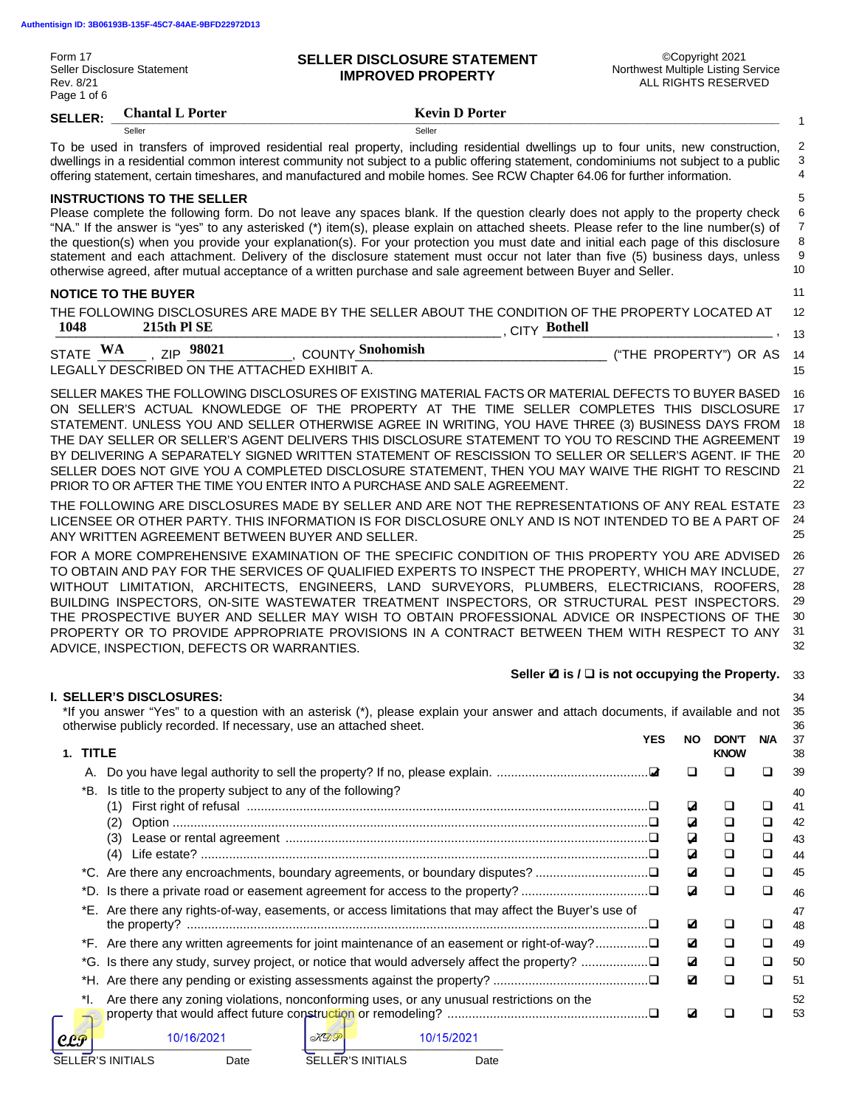Page 1 of 6

### Form 17 ©Copyright 2021 **SELLER DISCLOSURE STATEMENT** Seller Disclosure Statement<br> **IMPROVED PROPERTY** Northwest Multiple Listing Service<br>
ALL RIGHTS RESERVED **IMPROVED PROPERTY**

11

15

34

### **SELLER:** Unantal L Porter **Review Review Review Proper Chantal L Porter Kevin D Porter**

Seller Seller Seller

To be used in transfers of improved residential real property, including residential dwellings up to four units, new construction, dwellings in a residential common interest community not subject to a public offering statement, condominiums not subject to a public offering statement, certain timeshares, and manufactured and mobile homes. See RCW Chapter 64.06 for further information.

## **INSTRUCTIONS TO THE SELLER**

Please complete the following form. Do not leave any spaces blank. If the question clearly does not apply to the property check "NA." If the answer is "yes" to any asterisked (\*) item(s), please explain on attached sheets. Please refer to the line number(s) of the question(s) when you provide your explanation(s). For your protection you must date and initial each page of this disclosure statement and each attachment. Delivery of the disclosure statement must occur not later than five (5) business days, unless otherwise agreed, after mutual acceptance of a written purchase and sale agreement between Buyer and Seller. 6 7 8 9 10

## **NOTICE TO THE BUYER**

|          |                     | THE FOLLOWING DISCLOSURES ARE MADE BY THE SELLER ABOUT THE CONDITION OF THE PROPERTY LOCATED AT |                |                           |  |
|----------|---------------------|-------------------------------------------------------------------------------------------------|----------------|---------------------------|--|
| 1048     | 215th PLSE          |                                                                                                 | $CITY$ Bothell |                           |  |
| STATE WA | <sub>71</sub> 98021 | COUNTY Snohomish                                                                                |                | ("THE PROPERTY") OR AS 14 |  |

LEGALLY DESCRIBED ON THE ATTACHED EXHIBIT A.

SELLER MAKES THE FOLLOWING DISCLOSURES OF EXISTING MATERIAL FACTS OR MATERIAL DEFECTS TO BUYER BASED ON SELLER'S ACTUAL KNOWLEDGE OF THE PROPERTY AT THE TIME SELLER COMPLETES THIS DISCLOSURE STATEMENT. UNLESS YOU AND SELLER OTHERWISE AGREE IN WRITING, YOU HAVE THREE (3) BUSINESS DAYS FROM THE DAY SELLER OR SELLER'S AGENT DELIVERS THIS DISCLOSURE STATEMENT TO YOU TO RESCIND THE AGREEMENT BY DELIVERING A SEPARATELY SIGNED WRITTEN STATEMENT OF RESCISSION TO SELLER OR SELLER'S AGENT. IF THE SELLER DOES NOT GIVE YOU A COMPLETED DISCLOSURE STATEMENT, THEN YOU MAY WAIVE THE RIGHT TO RESCIND PRIOR TO OR AFTER THE TIME YOU ENTER INTO A PURCHASE AND SALE AGREEMENT. 16 17 18 19 20 21 22

THE FOLLOWING ARE DISCLOSURES MADE BY SELLER AND ARE NOT THE REPRESENTATIONS OF ANY REAL ESTATE LICENSEE OR OTHER PARTY. THIS INFORMATION IS FOR DISCLOSURE ONLY AND IS NOT INTENDED TO BE A PART OF ANY WRITTEN AGREEMENT BETWEEN BUYER AND SELLER. 23 24 25

FOR A MORE COMPREHENSIVE EXAMINATION OF THE SPECIFIC CONDITION OF THIS PROPERTY YOU ARE ADVISED TO OBTAIN AND PAY FOR THE SERVICES OF QUALIFIED EXPERTS TO INSPECT THE PROPERTY, WHICH MAY INCLUDE, WITHOUT LIMITATION, ARCHITECTS, ENGINEERS, LAND SURVEYORS, PLUMBERS, ELECTRICIANS, ROOFERS, BUILDING INSPECTORS, ON-SITE WASTEWATER TREATMENT INSPECTORS, OR STRUCTURAL PEST INSPECTORS. THE PROSPECTIVE BUYER AND SELLER MAY WISH TO OBTAIN PROFESSIONAL ADVICE OR INSPECTIONS OF THE PROPERTY OR TO PROVIDE APPROPRIATE PROVISIONS IN A CONTRACT BETWEEN THEM WITH RESPECT TO ANY ADVICE, INSPECTION, DEFECTS OR WARRANTIES. 26 27 28 29 30 31 32

#### Seller  $\vec{a}$  is /  $\Box$  is not occupying the Property. 33

## **I. SELLER'S DISCLOSURES:**

 \*If you answer "Yes" to a question with an asterisk (\*), please explain your answer and attach documents, if available and not otherwise publicly recorded. If necessary, use an attached sheet. 35 36 37

| $1_{-}$ | <b>TITLE</b>                                              |      |                                                                                                      | <b>YES</b> | NO                        | DON'T<br><b>KNOW</b> | N/A            | 37<br>38 |
|---------|-----------------------------------------------------------|------|------------------------------------------------------------------------------------------------------|------------|---------------------------|----------------------|----------------|----------|
|         |                                                           |      |                                                                                                      |            |                           |                      |                | 39       |
| *B.     | Is title to the property subject to any of the following? |      |                                                                                                      |            |                           |                      |                | 40       |
|         | (1)                                                       |      |                                                                                                      |            | $\overline{\mathbf{u}}$   |                      |                | 41       |
|         | (2)                                                       |      |                                                                                                      |            |                           |                      | П              | 42       |
|         | (3)                                                       |      |                                                                                                      |            |                           |                      | П              | 43       |
|         | (4)                                                       |      |                                                                                                      |            |                           | ப                    | $\blacksquare$ | 44       |
|         |                                                           |      | *C. Are there any encroachments, boundary agreements, or boundary disputes?                          |            | $\overline{\mathbf{z}}$   | l 1                  | П              | 45       |
| *D.     |                                                           |      |                                                                                                      |            | 2                         | П                    | ⊓              | 46       |
|         |                                                           |      | *E. Are there any rights-of-way, easements, or access limitations that may affect the Buyer's use of |            |                           |                      |                | 47       |
|         |                                                           |      |                                                                                                      |            | 0                         | $\mathbf{L}$         |                | 48       |
|         |                                                           |      | *F. Are there any written agreements for joint maintenance of an easement or right-of-way?□          |            | $\boldsymbol{\mathsf{z}}$ | ⊔                    | П              | 49       |
| *G.     |                                                           |      | Is there any study, survey project, or notice that would adversely affect the property?              |            | $\overline{\mathbf{z}}$   | ப                    | □              | 50       |
| *H.     |                                                           |      |                                                                                                      |            | ☑                         | П                    | □              | 51       |
|         |                                                           |      | Are there any zoning violations, nonconforming uses, or any unusual restrictions on the              |            |                           |                      |                | 52       |
|         |                                                           |      |                                                                                                      |            | $\overline{\mathbf{z}}$   |                      |                | 53       |
| CLF     | 10/16/2021                                                | ったのフ | 10/15/2021                                                                                           |            |                           |                      |                |          |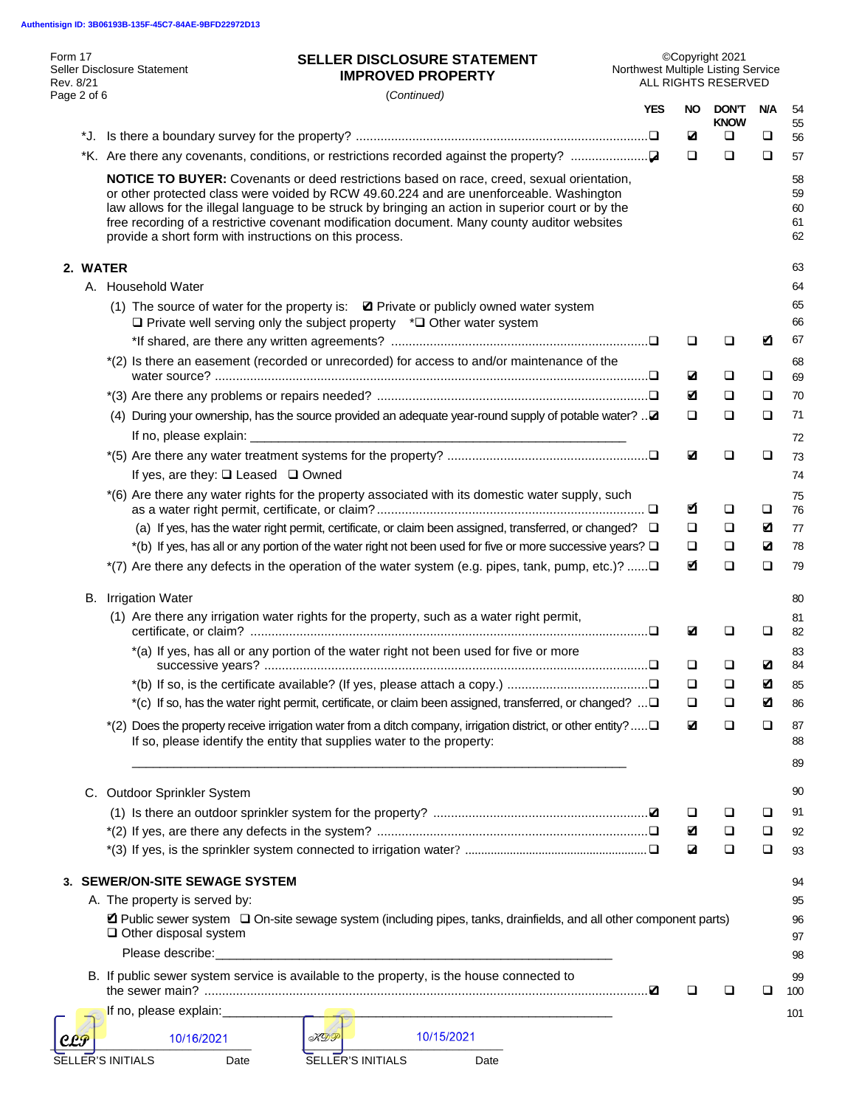| Form 17                     | <b>SELLER DISCLOSURE STATEMENT</b> | CODyright 2021                     |
|-----------------------------|------------------------------------|------------------------------------|
| Seller Disclosure Statement | <b>IMPROVED PROPERTY</b>           | Northwest Multiple Listing Service |
| Rev. 8/21                   |                                    | ALL RIGHTS RESERVED                |
| Page 2 of 6                 | (Continued)                        |                                    |

|    |                                                                                                                                                                                                                                                                                                                                                                                                                                                       | <b>YES</b> | <b>NO</b><br>Ø          | <b>DON'T</b><br><b>KNOW</b><br>❏ | <b>N/A</b><br>$\Box$ | 54<br>55<br>56             |
|----|-------------------------------------------------------------------------------------------------------------------------------------------------------------------------------------------------------------------------------------------------------------------------------------------------------------------------------------------------------------------------------------------------------------------------------------------------------|------------|-------------------------|----------------------------------|----------------------|----------------------------|
|    | *K. Are there any covenants, conditions, or restrictions recorded against the property?                                                                                                                                                                                                                                                                                                                                                               |            | $\Box$                  | $\Box$                           | $\Box$               | 57                         |
|    | NOTICE TO BUYER: Covenants or deed restrictions based on race, creed, sexual orientation,<br>or other protected class were voided by RCW 49.60.224 and are unenforceable. Washington<br>law allows for the illegal language to be struck by bringing an action in superior court or by the<br>free recording of a restrictive covenant modification document. Many county auditor websites<br>provide a short form with instructions on this process. |            |                         |                                  |                      | 58<br>59<br>60<br>61<br>62 |
|    | 2. WATER                                                                                                                                                                                                                                                                                                                                                                                                                                              |            |                         |                                  |                      | 63                         |
|    | A. Household Water                                                                                                                                                                                                                                                                                                                                                                                                                                    |            |                         |                                  |                      | 64                         |
|    | (1) The source of water for the property is: $\blacksquare$ Private or publicly owned water system<br>$\Box$ Private well serving only the subject property $\Box$ Other water system                                                                                                                                                                                                                                                                 |            |                         |                                  |                      | 65<br>66                   |
|    |                                                                                                                                                                                                                                                                                                                                                                                                                                                       |            | $\Box$                  | $\Box$                           | Ø                    | 67                         |
|    | *(2) Is there an easement (recorded or unrecorded) for access to and/or maintenance of the                                                                                                                                                                                                                                                                                                                                                            |            | Ø                       | ❏                                | $\Box$               | 68<br>69                   |
|    |                                                                                                                                                                                                                                                                                                                                                                                                                                                       |            | Ø                       | □                                | $\Box$               | 70                         |
|    | (4) During your ownership, has the source provided an adequate year-round supply of potable water?                                                                                                                                                                                                                                                                                                                                                    |            | □                       | ❏                                | $\Box$               | 71<br>72                   |
|    | If yes, are they: □ Leased □ Owned                                                                                                                                                                                                                                                                                                                                                                                                                    |            | ☑                       | $\Box$                           | $\Box$               | 73<br>74                   |
|    | *(6) Are there any water rights for the property associated with its domestic water supply, such                                                                                                                                                                                                                                                                                                                                                      |            |                         |                                  |                      | 75                         |
|    |                                                                                                                                                                                                                                                                                                                                                                                                                                                       |            | ন্                      | $\Box$                           | $\Box$               | 76                         |
|    | (a) If yes, has the water right permit, certificate, or claim been assigned, transferred, or changed? $\square$                                                                                                                                                                                                                                                                                                                                       |            | ❏                       | ❏                                | ₫                    | $77\,$                     |
|    | *(b) If yes, has all or any portion of the water right not been used for five or more successive years? $\square$                                                                                                                                                                                                                                                                                                                                     |            | ❏                       | □                                | Ø                    | 78                         |
|    | *(7) Are there any defects in the operation of the water system (e.g. pipes, tank, pump, etc.)? $\square$                                                                                                                                                                                                                                                                                                                                             |            | Ø                       | □                                | $\Box$               | 79                         |
| В. | <b>Irrigation Water</b>                                                                                                                                                                                                                                                                                                                                                                                                                               |            |                         |                                  |                      | 80                         |
|    | (1) Are there any irrigation water rights for the property, such as a water right permit,                                                                                                                                                                                                                                                                                                                                                             |            | Ø                       | $\Box$                           | $\Box$               | 81<br>82                   |
|    | *(a) If yes, has all or any portion of the water right not been used for five or more                                                                                                                                                                                                                                                                                                                                                                 |            |                         |                                  |                      | 83                         |
|    |                                                                                                                                                                                                                                                                                                                                                                                                                                                       |            | □<br>❏                  | ❏<br>❏                           | ☑<br>₫               | 84<br>85                   |
|    | *(c) If so, has the water right permit, certificate, or claim been assigned, transferred, or changed?                                                                                                                                                                                                                                                                                                                                                 |            | ❏                       | ❏                                | ₫                    | 86                         |
|    | *(2) Does the property receive irrigation water from a ditch company, irrigation district, or other entity?                                                                                                                                                                                                                                                                                                                                           |            | $\overline{\mathbf{z}}$ | n                                | $\Box$               | 87                         |
|    | If so, please identify the entity that supplies water to the property:                                                                                                                                                                                                                                                                                                                                                                                |            |                         |                                  |                      | 88                         |
|    |                                                                                                                                                                                                                                                                                                                                                                                                                                                       |            |                         |                                  |                      | 89                         |
|    | C. Outdoor Sprinkler System                                                                                                                                                                                                                                                                                                                                                                                                                           |            |                         |                                  |                      | 90                         |
|    |                                                                                                                                                                                                                                                                                                                                                                                                                                                       |            | ⊔                       | u                                | ⊔                    | 91                         |
|    |                                                                                                                                                                                                                                                                                                                                                                                                                                                       |            | Ø                       | □                                | $\Box$               | 92                         |
|    |                                                                                                                                                                                                                                                                                                                                                                                                                                                       |            | Ø                       | ❏                                | $\Box$               | 93                         |
|    | 3. SEWER/ON-SITE SEWAGE SYSTEM                                                                                                                                                                                                                                                                                                                                                                                                                        |            |                         |                                  |                      | 94                         |
|    | A. The property is served by:                                                                                                                                                                                                                                                                                                                                                                                                                         |            |                         |                                  |                      | 95                         |
|    | ■ Public sewer system □ On-site sewage system (including pipes, tanks, drainfields, and all other component parts)<br>$\Box$ Other disposal system                                                                                                                                                                                                                                                                                                    |            |                         |                                  |                      | 96<br>97                   |
|    | Please describe:                                                                                                                                                                                                                                                                                                                                                                                                                                      |            |                         |                                  |                      | 98                         |
|    | B. If public sewer system service is available to the property, is the house connected to                                                                                                                                                                                                                                                                                                                                                             |            | □                       | ⊔                                | □                    | 99<br>100                  |
|    | If no, please explain:__                                                                                                                                                                                                                                                                                                                                                                                                                              |            |                         |                                  |                      | 101                        |
|    | 10/15/2021<br>10/16/2021<br>KDP)                                                                                                                                                                                                                                                                                                                                                                                                                      |            |                         |                                  |                      |                            |
|    | SELLER'S INITIALS<br>SELLER'S INITIALS<br>Date<br>Date                                                                                                                                                                                                                                                                                                                                                                                                |            |                         |                                  |                      |                            |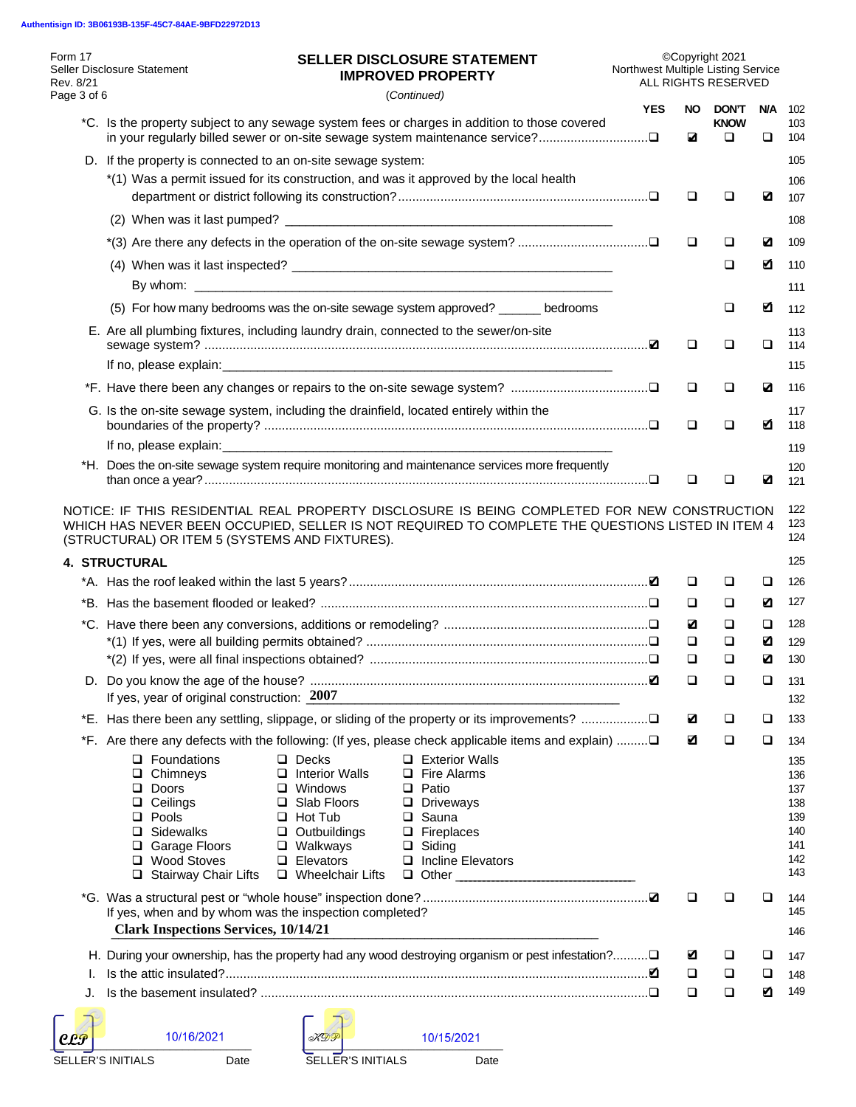| Form 17<br>Rev. 8/21 | <b>SELLER DISCLOSURE STATEMENT</b><br>Seller Disclosure Statement<br><b>IMPROVED PROPERTY</b>                                                                                                                                                                                                                                                                                                                                                                                                                                     | Northwest Multiple Listing Service |                         | ©Copyright 2021<br>ALL RIGHTS RESERVED |            |                                                             |
|----------------------|-----------------------------------------------------------------------------------------------------------------------------------------------------------------------------------------------------------------------------------------------------------------------------------------------------------------------------------------------------------------------------------------------------------------------------------------------------------------------------------------------------------------------------------|------------------------------------|-------------------------|----------------------------------------|------------|-------------------------------------------------------------|
| Page 3 of 6          | (Continued)                                                                                                                                                                                                                                                                                                                                                                                                                                                                                                                       | <b>YES</b>                         | NO.                     | <b>DON'T</b>                           | <b>N/A</b> |                                                             |
|                      | *C. Is the property subject to any sewage system fees or charges in addition to those covered<br>in your regularly billed sewer or on-site sewage system maintenance service?                                                                                                                                                                                                                                                                                                                                                     |                                    | $\overline{\mathbf{u}}$ | <b>KNOW</b><br>$\Box$                  | $\Box$     | 102<br>103<br>104                                           |
|                      | D. If the property is connected to an on-site sewage system:                                                                                                                                                                                                                                                                                                                                                                                                                                                                      |                                    |                         |                                        |            | 105                                                         |
|                      | *(1) Was a permit issued for its construction, and was it approved by the local health                                                                                                                                                                                                                                                                                                                                                                                                                                            |                                    | ❏                       | $\Box$                                 | Ø          | 106<br>107                                                  |
|                      |                                                                                                                                                                                                                                                                                                                                                                                                                                                                                                                                   |                                    |                         |                                        |            | 108                                                         |
|                      |                                                                                                                                                                                                                                                                                                                                                                                                                                                                                                                                   |                                    | ❏                       | ❏                                      | Ø          | 109                                                         |
|                      |                                                                                                                                                                                                                                                                                                                                                                                                                                                                                                                                   |                                    |                         | $\Box$                                 | ₫          | 110                                                         |
|                      |                                                                                                                                                                                                                                                                                                                                                                                                                                                                                                                                   |                                    |                         |                                        |            | 111                                                         |
|                      | (5) For how many bedrooms was the on-site sewage system approved? ______ bedrooms                                                                                                                                                                                                                                                                                                                                                                                                                                                 |                                    |                         | $\Box$                                 | Ø          | 112                                                         |
|                      | E. Are all plumbing fixtures, including laundry drain, connected to the sewer/on-site                                                                                                                                                                                                                                                                                                                                                                                                                                             |                                    | $\Box$                  | $\Box$                                 | □          | 113<br>114                                                  |
|                      |                                                                                                                                                                                                                                                                                                                                                                                                                                                                                                                                   |                                    |                         |                                        |            | 115                                                         |
|                      |                                                                                                                                                                                                                                                                                                                                                                                                                                                                                                                                   |                                    | $\Box$                  | $\Box$                                 | Ø          | 116                                                         |
|                      | G. Is the on-site sewage system, including the drainfield, located entirely within the                                                                                                                                                                                                                                                                                                                                                                                                                                            |                                    | □                       | $\Box$                                 | Ø          | 117<br>118                                                  |
|                      | If no, please explain: The contract of the contract of the contract of the contract of the contract of the contract of the contract of the contract of the contract of the contract of the contract of the contract of the con                                                                                                                                                                                                                                                                                                    |                                    |                         |                                        |            | 119                                                         |
|                      | *H. Does the on-site sewage system require monitoring and maintenance services more frequently                                                                                                                                                                                                                                                                                                                                                                                                                                    |                                    | □                       | □                                      | Ø          | 120<br>121                                                  |
|                      | NOTICE: IF THIS RESIDENTIAL REAL PROPERTY DISCLOSURE IS BEING COMPLETED FOR NEW CONSTRUCTION<br>WHICH HAS NEVER BEEN OCCUPIED, SELLER IS NOT REQUIRED TO COMPLETE THE QUESTIONS LISTED IN ITEM 4<br>(STRUCTURAL) OR ITEM 5 (SYSTEMS AND FIXTURES).<br><b>4. STRUCTURAL</b>                                                                                                                                                                                                                                                        |                                    |                         |                                        |            | 122<br>123<br>124<br>125                                    |
|                      |                                                                                                                                                                                                                                                                                                                                                                                                                                                                                                                                   |                                    | O                       | ❏                                      | O          | 126                                                         |
|                      |                                                                                                                                                                                                                                                                                                                                                                                                                                                                                                                                   |                                    | □                       | $\Box$                                 | ₫          | 127                                                         |
|                      |                                                                                                                                                                                                                                                                                                                                                                                                                                                                                                                                   |                                    | Ø                       | $\Box$                                 | $\Box$     | 128                                                         |
|                      |                                                                                                                                                                                                                                                                                                                                                                                                                                                                                                                                   |                                    | $\Box$                  | $\Box$                                 | ₫          | 129                                                         |
|                      |                                                                                                                                                                                                                                                                                                                                                                                                                                                                                                                                   |                                    | $\Box$                  | $\Box$                                 | Ø          | 130                                                         |
|                      | If yes, year of original construction: 2007                                                                                                                                                                                                                                                                                                                                                                                                                                                                                       |                                    | ❏                       | □                                      | ❏          | 131<br>132                                                  |
|                      | *E. Has there been any settling, slippage, or sliding of the property or its improvements?                                                                                                                                                                                                                                                                                                                                                                                                                                        |                                    | Ø                       | ❏                                      | □          | 133                                                         |
| *F.                  | Are there any defects with the following: (If yes, please check applicable items and explain) □                                                                                                                                                                                                                                                                                                                                                                                                                                   |                                    | Ø                       | $\Box$                                 | $\Box$     | 134                                                         |
|                      | $\Box$ Decks<br>$\Box$ Foundations<br>□ Exterior Walls<br>$\Box$ Interior Walls<br>$\Box$ Chimneys<br>$\Box$ Fire Alarms<br>$\Box$ Doors<br>$\Box$ Windows<br>$\Box$ Patio<br>□ Slab Floors<br>$\Box$ Ceilings<br>$\Box$ Driveways<br>$\Box$ Pools<br>$\Box$ Hot Tub<br>$\Box$ Sauna<br>$\Box$ Sidewalks<br>$\Box$ Outbuildings<br>$\Box$ Fireplaces<br>□ Garage Floors<br>$\Box$ Walkways<br>$\Box$ Siding<br>□ Wood Stoves<br>$\Box$ Incline Elevators<br>$\Box$ Elevators<br>$\Box$ Stairway Chair Lifts<br>□ Wheelchair Lifts |                                    |                         |                                        |            | 135<br>136<br>137<br>138<br>139<br>140<br>141<br>142<br>143 |
|                      | If yes, when and by whom was the inspection completed?<br><b>Clark Inspections Services, 10/14/21</b>                                                                                                                                                                                                                                                                                                                                                                                                                             |                                    | $\Box$                  | □                                      | $\Box$     | 144<br>145<br>146                                           |
|                      | H. During your ownership, has the property had any wood destroying organism or pest infestation?                                                                                                                                                                                                                                                                                                                                                                                                                                  |                                    | Ø                       | ❏                                      | □          | 147                                                         |
|                      |                                                                                                                                                                                                                                                                                                                                                                                                                                                                                                                                   |                                    | □                       | □                                      | □          | 148                                                         |
|                      |                                                                                                                                                                                                                                                                                                                                                                                                                                                                                                                                   |                                    | □                       | $\Box$                                 | ₫          | 149                                                         |
|                      | 101150001                                                                                                                                                                                                                                                                                                                                                                                                                                                                                                                         |                                    |                         |                                        |            |                                                             |

| . |                   | . <u>.</u> . | .   |                       | 19/19/29 <b>21</b> |
|---|-------------------|--------------|-----|-----------------------|--------------------|
|   | SELLER'S INITIALS |              | ו⊐ר | <b>.ER'S INITIALS</b> | ⊇ate               |

| )ate |  |
|------|--|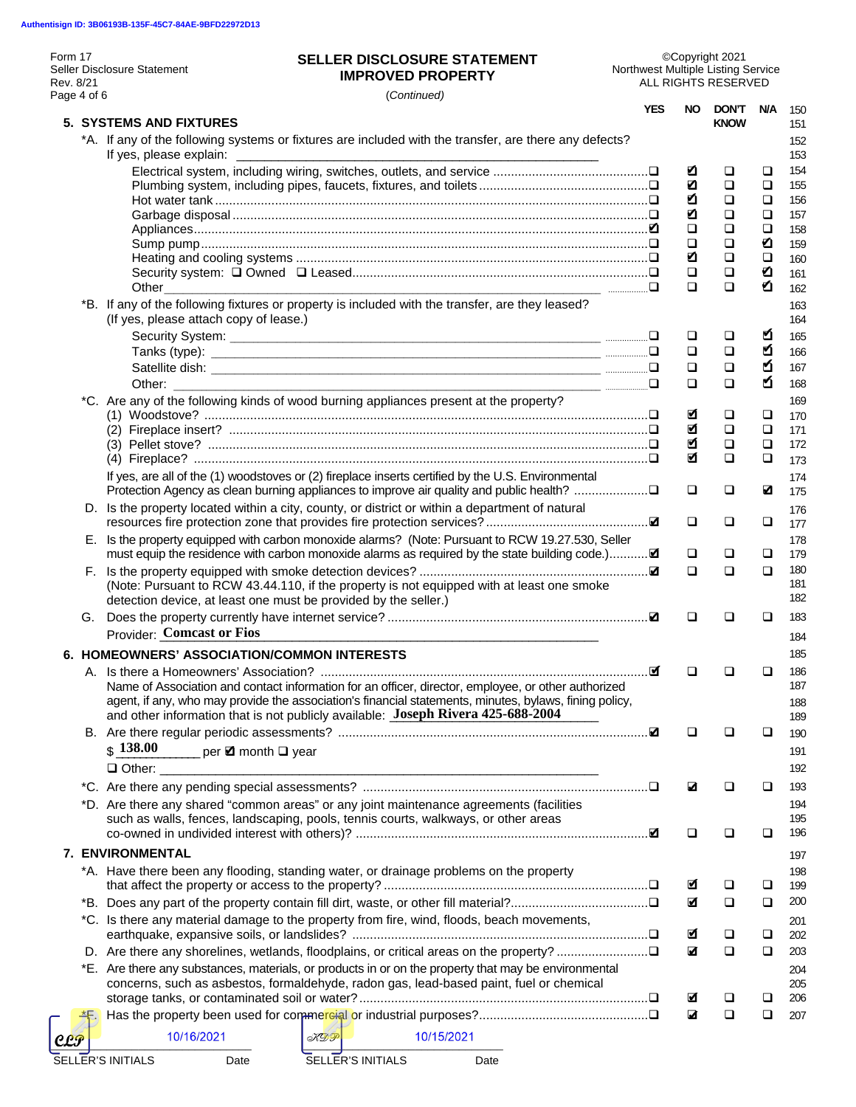| Form 17<br>Rev. 8/21 | <b>SELLER DISCLOSURE STATEMENT</b><br>Seller Disclosure Statement<br><b>IMPROVED PROPERTY</b>                                                                                                                                 |            |                  | ©Copyright 2021<br>Northwest Multiple Listing Service<br>ALL RIGHTS RESERVED |                  |
|----------------------|-------------------------------------------------------------------------------------------------------------------------------------------------------------------------------------------------------------------------------|------------|------------------|------------------------------------------------------------------------------|------------------|
| Page 4 of 6          | (Continued)                                                                                                                                                                                                                   | <b>YES</b> | <b>NO</b>        | <b>DON'T</b>                                                                 | <b>N/A</b>       |
|                      | <b>5. SYSTEMS AND FIXTURES</b>                                                                                                                                                                                                |            |                  | <b>KNOW</b>                                                                  |                  |
|                      | *A. If any of the following systems or fixtures are included with the transfer, are there any defects?<br>If yes, please explain:                                                                                             |            |                  |                                                                              |                  |
|                      |                                                                                                                                                                                                                               |            | Ø<br>Ø           | $\Box$<br>$\Box$                                                             | $\Box$<br>$\Box$ |
|                      |                                                                                                                                                                                                                               |            | ସ                | $\Box$                                                                       | $\Box$           |
|                      |                                                                                                                                                                                                                               |            | ₫<br>$\Box$      | $\Box$<br>$\Box$                                                             | $\Box$<br>$\Box$ |
|                      |                                                                                                                                                                                                                               |            | $\Box$           | $\Box$                                                                       | Ø                |
|                      |                                                                                                                                                                                                                               |            | Ø                | $\Box$                                                                       | $\Box$           |
|                      |                                                                                                                                                                                                                               |            | $\Box$           | $\Box$<br>$\Box$                                                             | Ø                |
|                      | Other<br>*B. If any of the following fixtures or property is included with the transfer, are they leased?                                                                                                                     |            | $\Box$           |                                                                              | ₫                |
|                      | (If yes, please attach copy of lease.)                                                                                                                                                                                        |            |                  |                                                                              | ସ                |
|                      |                                                                                                                                                                                                                               |            | $\Box$<br>□      | $\Box$<br>$\Box$                                                             | ิส               |
|                      |                                                                                                                                                                                                                               |            | $\Box$           | $\Box$                                                                       | ิศ               |
|                      | Other:<br>and a strategic control of the strategic control of the strategic control of the strategic control of the strategic                                                                                                 | O.         | □                | $\Box$                                                                       | ସ                |
|                      | *C. Are any of the following kinds of wood burning appliances present at the property?                                                                                                                                        |            |                  |                                                                              |                  |
|                      |                                                                                                                                                                                                                               |            | Q                | $\Box$                                                                       | $\Box$           |
|                      | □ CONFIDENTIAL RESERVED THE STATE STATE STATE STATE STATE STATE STATE STATE STATE STATE STATE STATE STATE STATE STATE STATE STATE STATE STATE STATE STATE STATE STATE STATE STATE STATE STATE STATE STATE STATE STATE STATE S |            | ☑<br>Ø           | $\Box$<br>$\Box$                                                             | $\Box$<br>$\Box$ |
|                      |                                                                                                                                                                                                                               |            | Ø                | $\Box$                                                                       | □                |
|                      | If yes, are all of the (1) woodstoves or (2) fireplace inserts certified by the U.S. Environmental                                                                                                                            |            |                  |                                                                              |                  |
|                      |                                                                                                                                                                                                                               |            | $\Box$           | $\Box$                                                                       | ₫                |
|                      | D. Is the property located within a city, county, or district or within a department of natural                                                                                                                               |            | $\Box$           | $\Box$                                                                       | ❏                |
|                      | Is the property equipped with carbon monoxide alarms? (Note: Pursuant to RCW 19.27.530, Seller<br>Е.                                                                                                                          |            |                  |                                                                              |                  |
|                      | must equip the residence with carbon monoxide alarms as required by the state building code.)                                                                                                                                 |            | $\Box$<br>$\Box$ | □                                                                            | ❏<br>□           |
|                      | F.<br>(Note: Pursuant to RCW 43.44.110, if the property is not equipped with at least one smoke<br>detection device, at least one must be provided by the seller.)                                                            |            |                  | $\Box$                                                                       |                  |
| G.                   | Provider: Comcast or Fios                                                                                                                                                                                                     |            | □                | ❏                                                                            | □                |
|                      | 6. HOMEOWNERS' ASSOCIATION/COMMON INTERESTS                                                                                                                                                                                   |            |                  |                                                                              |                  |
|                      |                                                                                                                                                                                                                               |            | □                | □                                                                            | □                |
|                      | Name of Association and contact information for an officer, director, employee, or other authorized<br>agent, if any, who may provide the association's financial statements, minutes, bylaws, fining policy,                 |            |                  |                                                                              |                  |
|                      | and other information that is not publicly available: Joseph Rivera 425-688-2004                                                                                                                                              |            |                  |                                                                              |                  |
|                      |                                                                                                                                                                                                                               |            | □                | □                                                                            | ❏                |
|                      | \$138.00<br>per $\blacksquare$ month $\square$ year                                                                                                                                                                           |            |                  |                                                                              |                  |
|                      |                                                                                                                                                                                                                               |            |                  |                                                                              |                  |
|                      |                                                                                                                                                                                                                               |            | Ø                | □                                                                            | □                |
|                      | *D. Are there any shared "common areas" or any joint maintenance agreements (facilities<br>such as walls, fences, landscaping, pools, tennis courts, walkways, or other areas                                                 |            |                  |                                                                              |                  |
|                      |                                                                                                                                                                                                                               |            | □                | ❏                                                                            | □                |
|                      | 7. ENVIRONMENTAL                                                                                                                                                                                                              |            |                  |                                                                              |                  |
|                      | *A. Have there been any flooding, standing water, or drainage problems on the property                                                                                                                                        |            |                  |                                                                              |                  |
|                      |                                                                                                                                                                                                                               |            | Ø                | ⊔                                                                            | □                |
|                      |                                                                                                                                                                                                                               |            | Ø                | $\Box$                                                                       | □                |
|                      | *C. Is there any material damage to the property from fire, wind, floods, beach movements,                                                                                                                                    |            |                  |                                                                              |                  |
|                      |                                                                                                                                                                                                                               |            | Ø<br>Ø           | □                                                                            | □                |
|                      | *E. Are there any substances, materials, or products in or on the property that may be environmental                                                                                                                          |            |                  | $\Box$                                                                       | $\Box$           |
|                      | concerns, such as asbestos, formaldehyde, radon gas, lead-based paint, fuel or chemical                                                                                                                                       |            |                  |                                                                              |                  |
|                      |                                                                                                                                                                                                                               |            | Ø                | O                                                                            | □                |
|                      |                                                                                                                                                                                                                               |            | Ø                | ❏                                                                            | ❏                |
|                      |                                                                                                                                                                                                                               |            |                  |                                                                              |                  |

| Date |
|------|
|------|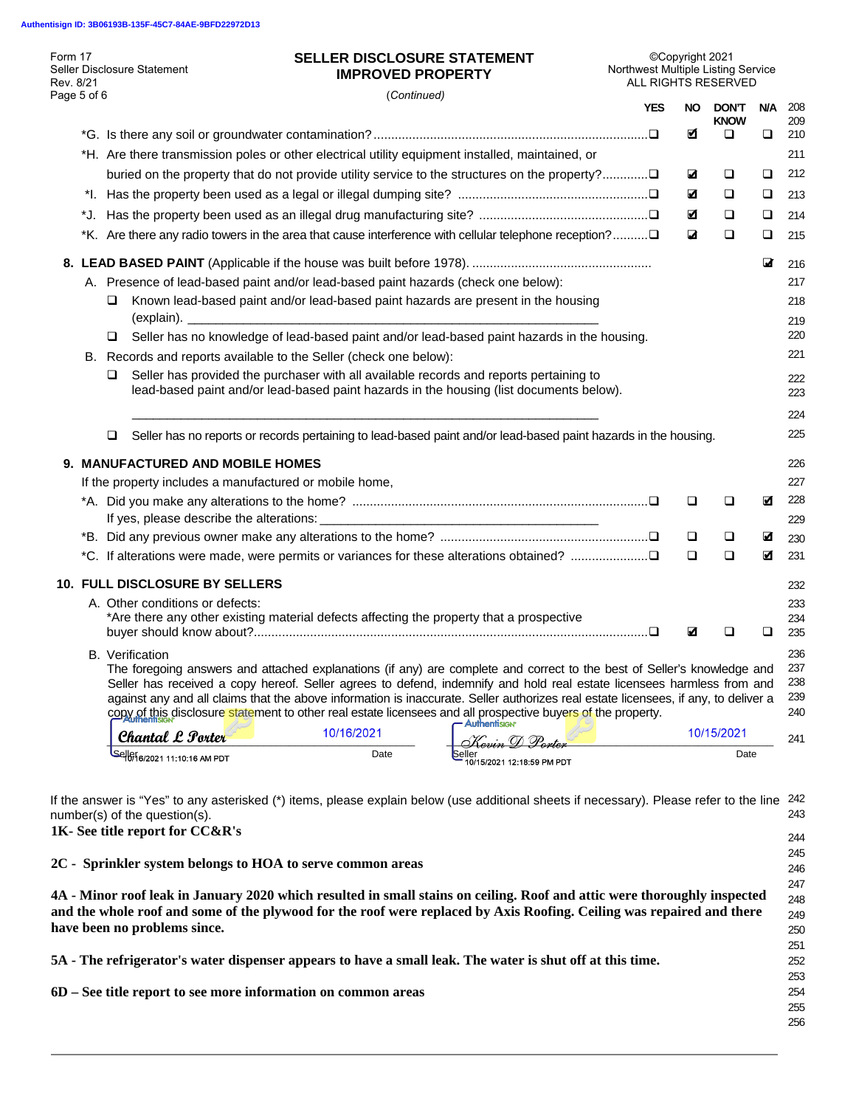Form 17 Seller Disclosure Statement Rev. 8/21 Page 5 of 6 (*Continued*)

# **SELLER DISCLOSURE STATEMENT IMPROVED PROPERTY**

©Copyright 20 Northwest Multiple Listing Service ALL RIGHTS RESERVED

> 244 245 246

|    | r ago o or o                                                                                                                                                                                                                                                                                                                                                                                                      | <b>YES</b> | <b>NO</b>               | <b>DON'T</b><br><b>KNOW</b> | <b>N/A</b> |
|----|-------------------------------------------------------------------------------------------------------------------------------------------------------------------------------------------------------------------------------------------------------------------------------------------------------------------------------------------------------------------------------------------------------------------|------------|-------------------------|-----------------------------|------------|
|    |                                                                                                                                                                                                                                                                                                                                                                                                                   |            | Ø                       | $\Box$                      | ❏          |
|    | *H. Are there transmission poles or other electrical utility equipment installed, maintained, or                                                                                                                                                                                                                                                                                                                  |            |                         |                             |            |
|    | buried on the property that do not provide utility service to the structures on the property?□                                                                                                                                                                                                                                                                                                                    |            | 0                       | $\Box$                      | $\Box$     |
|    |                                                                                                                                                                                                                                                                                                                                                                                                                   |            | ☑                       | $\Box$                      | □          |
|    |                                                                                                                                                                                                                                                                                                                                                                                                                   |            | ☑                       | $\Box$                      | ❏          |
|    | *K. Are there any radio towers in the area that cause interference with cellular telephone reception?                                                                                                                                                                                                                                                                                                             |            | $\overline{\mathbf{u}}$ | $\Box$                      | ❏          |
|    |                                                                                                                                                                                                                                                                                                                                                                                                                   |            |                         |                             | ď          |
|    | A. Presence of lead-based paint and/or lead-based paint hazards (check one below):                                                                                                                                                                                                                                                                                                                                |            |                         |                             |            |
|    | Known lead-based paint and/or lead-based paint hazards are present in the housing<br>□<br>(explain).                                                                                                                                                                                                                                                                                                              |            |                         |                             |            |
|    | Seller has no knowledge of lead-based paint and/or lead-based paint hazards in the housing.                                                                                                                                                                                                                                                                                                                       |            |                         |                             |            |
| В. | Records and reports available to the Seller (check one below):                                                                                                                                                                                                                                                                                                                                                    |            |                         |                             |            |
|    | Seller has provided the purchaser with all available records and reports pertaining to<br>▫                                                                                                                                                                                                                                                                                                                       |            |                         |                             |            |
|    | lead-based paint and/or lead-based paint hazards in the housing (list documents below).                                                                                                                                                                                                                                                                                                                           |            |                         |                             |            |
|    |                                                                                                                                                                                                                                                                                                                                                                                                                   |            |                         |                             |            |
|    | Seller has no reports or records pertaining to lead-based paint and/or lead-based paint hazards in the housing.<br>o                                                                                                                                                                                                                                                                                              |            |                         |                             |            |
|    | 9. MANUFACTURED AND MOBILE HOMES                                                                                                                                                                                                                                                                                                                                                                                  |            |                         |                             |            |
|    | If the property includes a manufactured or mobile home,                                                                                                                                                                                                                                                                                                                                                           |            |                         |                             |            |
|    |                                                                                                                                                                                                                                                                                                                                                                                                                   |            | □                       | $\Box$                      | Ø          |
|    | If yes, please describe the alterations:<br><u> 2008 - Januar Lander, maria eta idazlear (h. 2008).</u>                                                                                                                                                                                                                                                                                                           |            |                         |                             |            |
|    |                                                                                                                                                                                                                                                                                                                                                                                                                   |            | $\Box$                  | $\Box$                      | ☑          |
|    |                                                                                                                                                                                                                                                                                                                                                                                                                   |            | $\Box$                  | $\Box$                      | Ø          |
|    | <b>10. FULL DISCLOSURE BY SELLERS</b>                                                                                                                                                                                                                                                                                                                                                                             |            |                         |                             |            |
|    | A. Other conditions or defects:                                                                                                                                                                                                                                                                                                                                                                                   |            |                         |                             |            |
|    | *Are there any other existing material defects affecting the property that a prospective                                                                                                                                                                                                                                                                                                                          |            | Ø                       | $\Box$                      | ❏          |
|    |                                                                                                                                                                                                                                                                                                                                                                                                                   |            |                         |                             |            |
|    | <b>B.</b> Verification<br>The foregoing answers and attached explanations (if any) are complete and correct to the best of Seller's knowledge and<br>Seller has received a copy hereof. Seller agrees to defend, indemnify and hold real estate licensees harmless from and<br>against any and all claims that the above information is inaccurate. Seller authorizes real estate licensees, if any, to deliver a |            |                         |                             |            |
|    | copy of this disclosure statement to other real estate licensees and all prospective buyers of the property.                                                                                                                                                                                                                                                                                                      |            |                         |                             |            |
|    | <b>Authentisign</b><br>10/16/2021<br>Chantal L Porter<br><u> Kevin D'Ponten</u>                                                                                                                                                                                                                                                                                                                                   |            |                         | 10/15/2021                  |            |

 **1K- See title report for CC&R's**

Ī

**2C - Sprinkler system belongs to HOA to serve common areas**

247 248 249 250 **4A - Minor roof leak in January 2020 which resulted in small stains on ceiling. Roof and attic were thoroughly inspected and the whole roof and some of the plywood for the roof were replaced by Axis Roofing. Ceiling was repaired and there have been no problems since.**

**5A - The refrigerator's water dispenser appears to have a small leak. The water is shut off at this time.**

**6D – See title report to see more information on common areas**